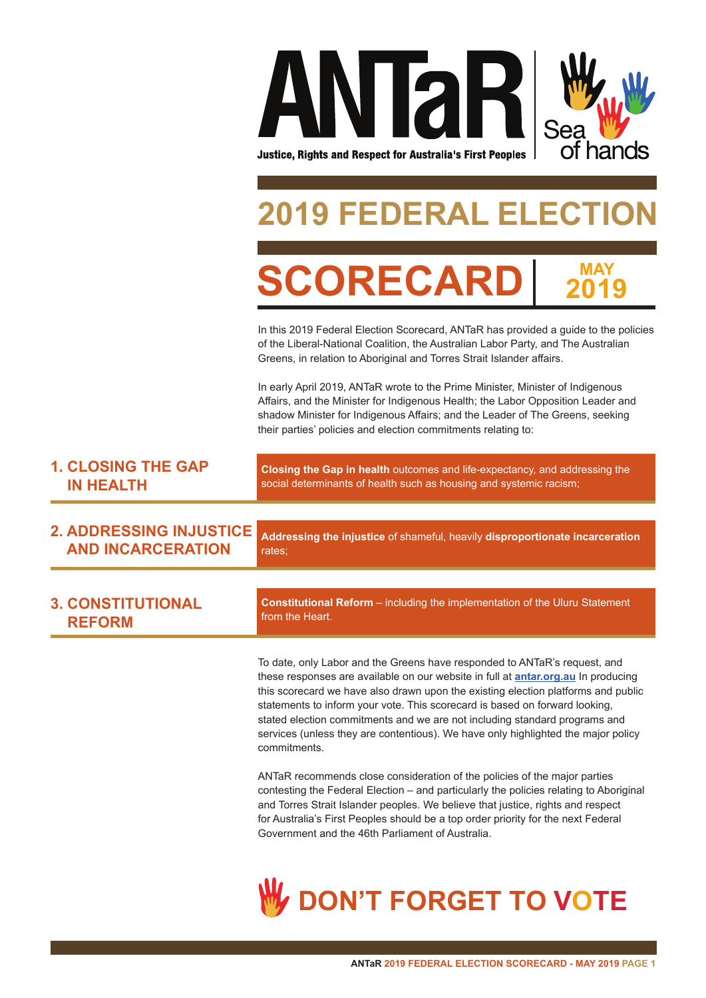

# **DERAL ELECT**

**MAY 2019**

**SCORECAR** 

In this 2019 Federal Election Scorecard, ANTaR has provided a guide to the policies of the Liberal-National Coalition, the Australian Labor Party, and The Australian Greens, in relation to Aboriginal and Torres Strait Islander affairs.

In early April 2019, ANTaR wrote to the Prime Minister, Minister of Indigenous Affairs, and the Minister for Indigenous Health; the Labor Opposition Leader and shadow Minister for Indigenous Affairs; and the Leader of The Greens, seeking their parties' policies and election commitments relating to:

| <b>1. CLOSING THE GAP</b> | <b>Closing the Gap in health</b> outcomes and life-expectancy, and addressing the |
|---------------------------|-----------------------------------------------------------------------------------|
| <b>IN HEALTH</b>          | social determinants of health such as housing and systemic racism;                |

**2. ADDRESSING INJUSTICE AND INCARCERATION**

**Addressing the injustice** of shameful, heavily **disproportionate incarceration**  rates;

| <b>3. CONSTITUTIONAL</b> | <b>Constitutional Reform</b> – including the implementation of the Uluru Statement |
|--------------------------|------------------------------------------------------------------------------------|
| <b>REFORM</b>            | I from the Heart.                                                                  |

To date, only Labor and the Greens have responded to ANTaR's request, and these responses are available on our website in full at **antar.org.au** In producing this scorecard we have also drawn upon the existing election platforms and public statements to inform your vote. This scorecard is based on forward looking, stated election commitments and we are not including standard programs and services (unless they are contentious). We have only highlighted the major policy commitments.

ANTaR recommends close consideration of the policies of the major parties contesting the Federal Election – and particularly the policies relating to Aboriginal and Torres Strait Islander peoples. We believe that justice, rights and respect for Australia's First Peoples should be a top order priority for the next Federal Government and the 46th Parliament of Australia.

# **DON'T FORGET TO VOTE**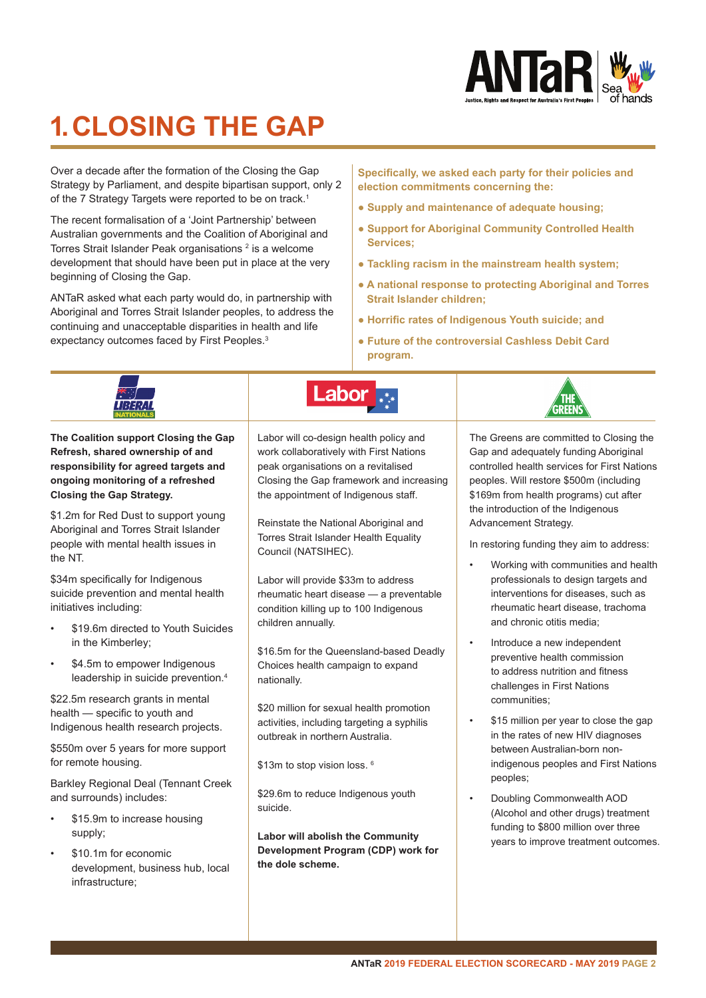

# **1. CLOSING THE GAP**

Over a decade after the formation of the Closing the Gap Strategy by Parliament, and despite bipartisan support, only 2 of the 7 Strategy Targets were reported to be on track.<sup>1</sup>

The recent formalisation of a 'Joint Partnership' between Australian governments and the Coalition of Aboriginal and Torres Strait Islander Peak organisations <sup>2</sup> is a welcome development that should have been put in place at the very beginning of Closing the Gap.

ANTaR asked what each party would do, in partnership with Aboriginal and Torres Strait Islander peoples, to address the continuing and unacceptable disparities in health and life expectancy outcomes faced by First Peoples.<sup>3</sup>

**Specifically, we asked each party for their policies and election commitments concerning the:**

- **Supply and maintenance of adequate housing;**
- **Support for Aboriginal Community Controlled Health Services;**
- **Tackling racism in the mainstream health system;**
- **A national response to protecting Aboriginal and Torres Strait Islander children;**
- **Horrific rates of Indigenous Youth suicide; and**
- **Future of the controversial Cashless Debit Card program.**

|                                                                                                                                                                                             | Labor                                                                                                                                                                                                        |                                                                                                                                                                                                                                                             |
|---------------------------------------------------------------------------------------------------------------------------------------------------------------------------------------------|--------------------------------------------------------------------------------------------------------------------------------------------------------------------------------------------------------------|-------------------------------------------------------------------------------------------------------------------------------------------------------------------------------------------------------------------------------------------------------------|
| The Coalition support Closing the Gap<br>Refresh, shared ownership of and<br>responsibility for agreed targets and<br>ongoing monitoring of a refreshed<br><b>Closing the Gap Strategy.</b> | Labor will co-design health policy and<br>work collaboratively with First Nations<br>peak organisations on a revitalised<br>Closing the Gap framework and increasing<br>the appointment of Indigenous staff. | The Greens are committed to Closing the<br>Gap and adequately funding Aboriginal<br>controlled health services for First Nations<br>peoples. Will restore \$500m (including<br>\$169m from health programs) cut after<br>the introduction of the Indigenous |
| \$1.2m for Red Dust to support young<br>Aboriginal and Torres Strait Islander<br>people with mental health issues in<br>the NT.                                                             | Reinstate the National Aboriginal and<br>Torres Strait Islander Health Equality<br>Council (NATSIHEC).                                                                                                       | Advancement Strategy.<br>In restoring funding they aim to address:<br>Working with communities and health                                                                                                                                                   |
| \$34m specifically for Indigenous<br>suicide prevention and mental health<br>initiatives including:                                                                                         | Labor will provide \$33m to address<br>rheumatic heart disease - a preventable<br>condition killing up to 100 Indigenous<br>children annually.                                                               | professionals to design targets and<br>interventions for diseases, such as<br>rheumatic heart disease, trachoma<br>and chronic otitis media:                                                                                                                |
| \$19.6m directed to Youth Suicides<br>in the Kimberley;<br>\$4.5m to empower Indigenous<br>$\bullet$<br>leadership in suicide prevention. <sup>4</sup>                                      | \$16.5m for the Queensland-based Deadly<br>Choices health campaign to expand<br>nationally.                                                                                                                  | Introduce a new independent<br>$\bullet$<br>preventive health commission<br>to address nutrition and fitness<br>challenges in First Nations                                                                                                                 |
| \$22.5m research grants in mental<br>health - specific to youth and<br>Indigenous health research projects.                                                                                 | \$20 million for sexual health promotion<br>activities, including targeting a syphilis<br>outbreak in northern Australia.                                                                                    | communities:<br>\$15 million per year to close the gap<br>$\bullet$<br>in the rates of new HIV diagnoses                                                                                                                                                    |
| \$550m over 5 years for more support<br>for remote housing.                                                                                                                                 | \$13m to stop vision loss. 6                                                                                                                                                                                 | between Australian-born non-<br>indigenous peoples and First Nations<br>peoples;                                                                                                                                                                            |
| Barkley Regional Deal (Tennant Creek<br>and surrounds) includes:<br>\$15.9m to increase housing<br>supply;                                                                                  | \$29.6m to reduce Indigenous youth<br>suicide.<br>Labor will abolish the Community                                                                                                                           | Doubling Commonwealth AOD<br>$\bullet$<br>(Alcohol and other drugs) treatment<br>funding to \$800 million over three<br>years to improve treatment outcomes.                                                                                                |
| \$10.1m for economic<br>$\bullet$<br>development, business hub, local<br>infrastructure;                                                                                                    | Development Program (CDP) work for<br>the dole scheme.                                                                                                                                                       |                                                                                                                                                                                                                                                             |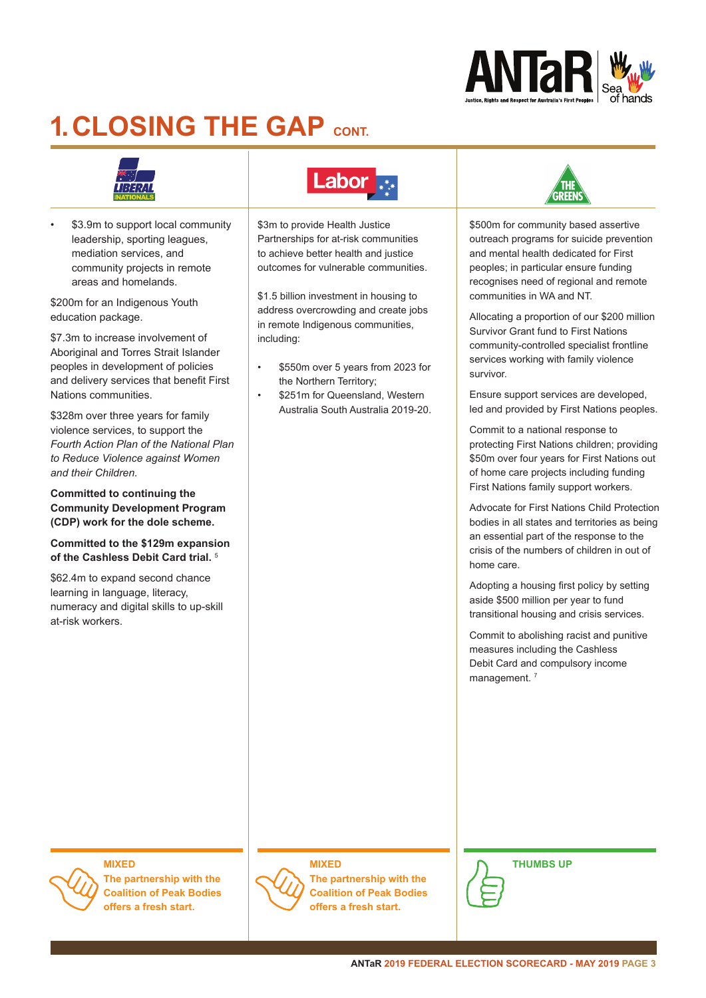

# **1. CLOSING THE GAP CONT**



\$3.9m to support local community leadership, sporting leagues, mediation services, and community projects in remote areas and homelands.

\$200m for an Indigenous Youth education package.

\$7.3m to increase involvement of Aboriginal and Torres Strait Islander peoples in development of policies and delivery services that benefit First Nations communities.

\$328m over three years for family violence services, to support the *Fourth Action Plan of the National Plan to Reduce Violence against Women and their Children.*

**Committed to continuing the Community Development Program (CDP) work for the dole scheme.**

**Committed to the \$129m expansion of the Cashless Debit Card trial.** <sup>5</sup>

\$62.4m to expand second chance learning in language, literacy, numeracy and digital skills to up-skill at-risk workers.

### **Labor**

\$3m to provide Health Justice Partnerships for at-risk communities to achieve better health and justice outcomes for vulnerable communities.

\$1.5 billion investment in housing to address overcrowding and create jobs in remote Indigenous communities, including:

- \$550m over 5 years from 2023 for the Northern Territory;
- \$251m for Queensland, Western Australia South Australia 2019-20.



\$500m for community based assertive outreach programs for suicide prevention and mental health dedicated for First peoples; in particular ensure funding recognises need of regional and remote communities in WA and NT.

Allocating a proportion of our \$200 million Survivor Grant fund to First Nations community-controlled specialist frontline services working with family violence survivor.

Ensure support services are developed, led and provided by First Nations peoples.

Commit to a national response to protecting First Nations children; providing \$50m over four years for First Nations out of home care projects including funding First Nations family support workers.

Advocate for First Nations Child Protection bodies in all states and territories as being an essential part of the response to the crisis of the numbers of children in out of home care.

Adopting a housing first policy by setting aside \$500 million per year to fund transitional housing and crisis services.

Commit to abolishing racist and punitive measures including the Cashless Debit Card and compulsory income management.<sup>7</sup>

### **MIXED**

**The partnership with the Coalition of Peak Bodies offers a fresh start.**

### **MIXED**



**The partnership with the Coalition of Peak Bodies offers a fresh start.**



**THUMBS UP**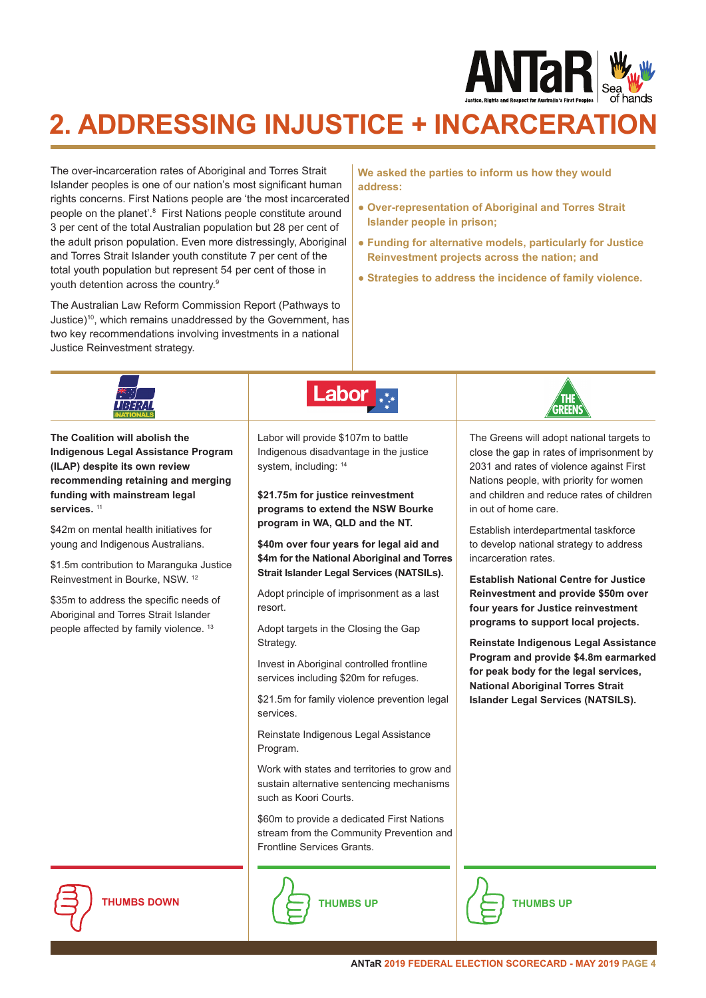

## **2. ADDRESSING INJUSTICE + INCARCERATION**

The over-incarceration rates of Aboriginal and Torres Strait Islander peoples is one of our nation's most significant human rights concerns. First Nations people are 'the most incarcerated people on the planet'.<sup>8</sup> First Nations people constitute around 3 per cent of the total Australian population but 28 per cent of the adult prison population. Even more distressingly, Aboriginal and Torres Strait Islander youth constitute 7 per cent of the total youth population but represent 54 per cent of those in youth detention across the country.9

The Australian Law Reform Commission Report (Pathways to Justice)10, which remains unaddressed by the Government, has two key recommendations involving investments in a national Justice Reinvestment strategy.

**We asked the parties to inform us how they would address:**

- **Over-representation of Aboriginal and Torres Strait Islander people in prison;**
- **Funding for alternative models, particularly for Justice Reinvestment projects across the nation; and**
- **Strategies to address the incidence of family violence.**

|                                                                                                                                                                                                                                                                                                                                                                                                                                                                                                            | Labor                                                                                                                                                                                                                                                                                                                                                                                                                                                                                                                                                                                                                                                                                                                                                                                                                                                                                                                        |                                                                                                                                                                                                                                                                                                                                                                                                                                                                                                                                                                                                                                                                                                                                                 |
|------------------------------------------------------------------------------------------------------------------------------------------------------------------------------------------------------------------------------------------------------------------------------------------------------------------------------------------------------------------------------------------------------------------------------------------------------------------------------------------------------------|------------------------------------------------------------------------------------------------------------------------------------------------------------------------------------------------------------------------------------------------------------------------------------------------------------------------------------------------------------------------------------------------------------------------------------------------------------------------------------------------------------------------------------------------------------------------------------------------------------------------------------------------------------------------------------------------------------------------------------------------------------------------------------------------------------------------------------------------------------------------------------------------------------------------------|-------------------------------------------------------------------------------------------------------------------------------------------------------------------------------------------------------------------------------------------------------------------------------------------------------------------------------------------------------------------------------------------------------------------------------------------------------------------------------------------------------------------------------------------------------------------------------------------------------------------------------------------------------------------------------------------------------------------------------------------------|
| The Coalition will abolish the<br><b>Indigenous Legal Assistance Program</b><br>(ILAP) despite its own review<br>recommending retaining and merging<br>funding with mainstream legal<br>services. <sup>11</sup><br>\$42m on mental health initiatives for<br>young and Indigenous Australians.<br>\$1.5m contribution to Maranguka Justice<br>Reinvestment in Bourke, NSW. 12<br>\$35m to address the specific needs of<br>Aboriginal and Torres Strait Islander<br>people affected by family violence. 13 | Labor will provide \$107m to battle<br>Indigenous disadvantage in the justice<br>system, including: 14<br>\$21.75m for justice reinvestment<br>programs to extend the NSW Bourke<br>program in WA, QLD and the NT.<br>\$40m over four years for legal aid and<br>\$4m for the National Aboriginal and Torres<br>Strait Islander Legal Services (NATSILs).<br>Adopt principle of imprisonment as a last<br>resort.<br>Adopt targets in the Closing the Gap<br>Strategy.<br>Invest in Aboriginal controlled frontline<br>services including \$20m for refuges.<br>\$21.5m for family violence prevention legal<br>services.<br>Reinstate Indigenous Legal Assistance<br>Program.<br>Work with states and territories to grow and<br>sustain alternative sentencing mechanisms<br>such as Koori Courts.<br>\$60m to provide a dedicated First Nations<br>stream from the Community Prevention and<br>Frontline Services Grants. | The Greens will adopt national targets to<br>close the gap in rates of imprisonment by<br>2031 and rates of violence against First<br>Nations people, with priority for women<br>and children and reduce rates of children<br>in out of home care.<br>Establish interdepartmental taskforce<br>to develop national strategy to address<br>incarceration rates.<br><b>Establish National Centre for Justice</b><br>Reinvestment and provide \$50m over<br>four years for Justice reinvestment<br>programs to support local projects.<br>Reinstate Indigenous Legal Assistance<br>Program and provide \$4.8m earmarked<br>for peak body for the legal services,<br><b>National Aboriginal Torres Strait</b><br>Islander Legal Services (NATSILS). |
| <b>THUMBS DOWN</b>                                                                                                                                                                                                                                                                                                                                                                                                                                                                                         | <b>THUMBS UP</b>                                                                                                                                                                                                                                                                                                                                                                                                                                                                                                                                                                                                                                                                                                                                                                                                                                                                                                             | <b>THUMBS UP</b>                                                                                                                                                                                                                                                                                                                                                                                                                                                                                                                                                                                                                                                                                                                                |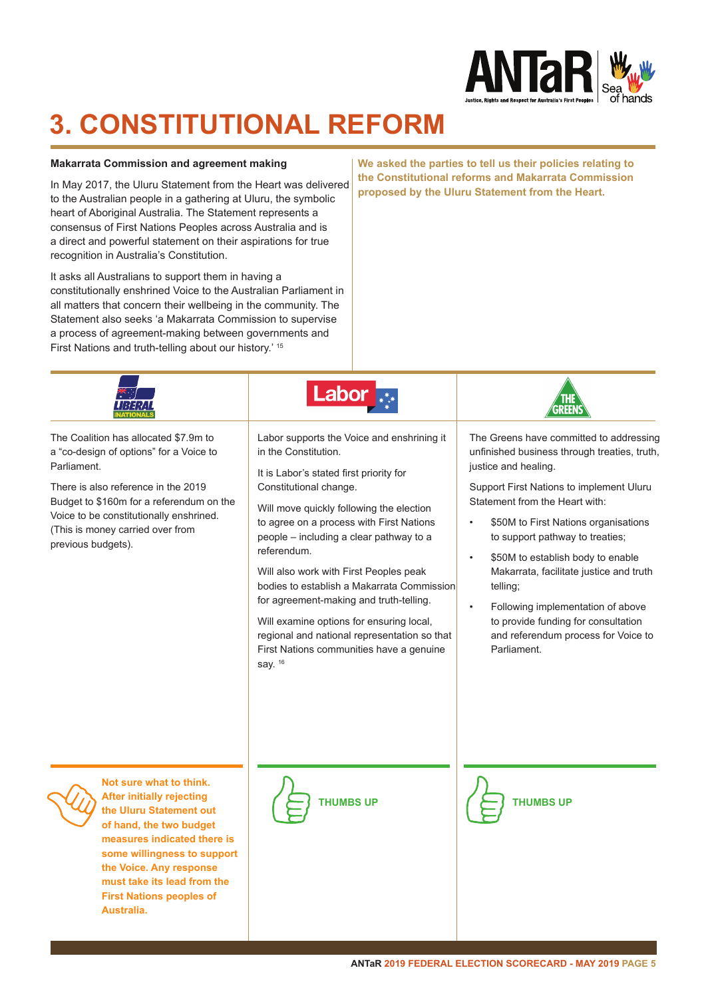

## **3. CONSTITUTIONAL REFORM**

### **Makarrata Commission and agreement making**

In May 2017, the Uluru Statement from the Heart was delivered to the Australian people in a gathering at Uluru, the symbolic heart of Aboriginal Australia. The Statement represents a consensus of First Nations Peoples across Australia and is a direct and powerful statement on their aspirations for true recognition in Australia's Constitution.

It asks all Australians to support them in having a constitutionally enshrined Voice to the Australian Parliament in all matters that concern their wellbeing in the community. The Statement also seeks 'a Makarrata Commission to supervise a process of agreement-making between governments and First Nations and truth-telling about our history.' 15

**We asked the parties to tell us their policies relating to the Constitutional reforms and Makarrata Commission proposed by the Uluru Statement from the Heart.**